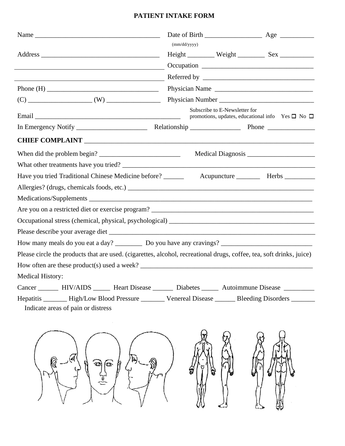## **PATIENT INTAKE FORM**

|                                                                                                                                            | (mm/dd/yyyy)                                                                                      |  |
|--------------------------------------------------------------------------------------------------------------------------------------------|---------------------------------------------------------------------------------------------------|--|
|                                                                                                                                            | $Height$ $\frac{1}{2}$ Weight $\frac{1}{2}$ Sex $\frac{1}{2}$                                     |  |
|                                                                                                                                            |                                                                                                   |  |
|                                                                                                                                            |                                                                                                   |  |
|                                                                                                                                            | Physician Name                                                                                    |  |
|                                                                                                                                            |                                                                                                   |  |
|                                                                                                                                            | Subscribe to E-Newsletter for<br>promotions, updates, educational info Yes $\square$ No $\square$ |  |
|                                                                                                                                            |                                                                                                   |  |
| <b>CHIEF COMPLAINT</b>                                                                                                                     |                                                                                                   |  |
| When did the problem begin?                                                                                                                |                                                                                                   |  |
|                                                                                                                                            |                                                                                                   |  |
| Have you tried Traditional Chinese Medicine before? ______                                                                                 | Acupuncture Herbs ________                                                                        |  |
|                                                                                                                                            |                                                                                                   |  |
|                                                                                                                                            |                                                                                                   |  |
|                                                                                                                                            |                                                                                                   |  |
|                                                                                                                                            |                                                                                                   |  |
|                                                                                                                                            |                                                                                                   |  |
|                                                                                                                                            |                                                                                                   |  |
| Please circle the products that are used. (cigarettes, alcohol, recreational drugs, coffee, tea, soft drinks, juice)                       |                                                                                                   |  |
| How often are these product(s) used a week?                                                                                                |                                                                                                   |  |
| <b>Medical History:</b>                                                                                                                    |                                                                                                   |  |
| Cancer ________ HIV/AIDS _______ Heart Disease ________ Diabetes _______ Autoimmune Disease ________                                       |                                                                                                   |  |
| Hepatitis _______ High/Low Blood Pressure ________ Venereal Disease ______ Bleeding Disorders ______<br>Indicate areas of pain or distress |                                                                                                   |  |
|                                                                                                                                            |                                                                                                   |  |